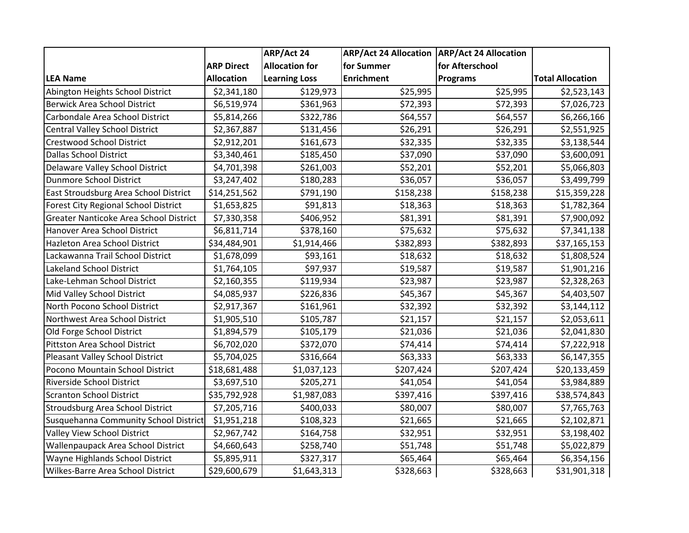|                                             |                   | ARP/Act 24            | ARP/Act 24 Allocation   ARP/Act 24 Allocation |                 |                         |
|---------------------------------------------|-------------------|-----------------------|-----------------------------------------------|-----------------|-------------------------|
|                                             | <b>ARP Direct</b> | <b>Allocation for</b> | for Summer                                    | for Afterschool |                         |
| <b>LEA Name</b>                             | <b>Allocation</b> | <b>Learning Loss</b>  | <b>Enrichment</b>                             | <b>Programs</b> | <b>Total Allocation</b> |
| Abington Heights School District            | \$2,341,180       | \$129,973             | \$25,995                                      | \$25,995        | \$2,523,143             |
| <b>Berwick Area School District</b>         | \$6,519,974       | \$361,963             | \$72,393                                      | \$72,393        | \$7,026,723             |
| Carbondale Area School District             | \$5,814,266       | \$322,786             | \$64,557                                      | \$64,557        | \$6,266,166             |
| <b>Central Valley School District</b>       | \$2,367,887       | \$131,456             | \$26,291                                      | \$26,291        | \$2,551,925             |
| <b>Crestwood School District</b>            | \$2,912,201       | \$161,673             | \$32,335                                      | \$32,335        | \$3,138,544             |
| <b>Dallas School District</b>               | \$3,340,461       | \$185,450             | \$37,090                                      | \$37,090        | \$3,600,091             |
| Delaware Valley School District             | \$4,701,398       | \$261,003             | \$52,201                                      | \$52,201        | \$5,066,803             |
| <b>Dunmore School District</b>              | \$3,247,402       | \$180,283             | \$36,057                                      | \$36,057        | \$3,499,799             |
| East Stroudsburg Area School District       | \$14,251,562      | \$791,190             | \$158,238                                     | \$158,238       | \$15,359,228            |
| <b>Forest City Regional School District</b> | \$1,653,825       | \$91,813              | \$18,363                                      | \$18,363        | \$1,782,364             |
| Greater Nanticoke Area School District      | \$7,330,358       | \$406,952             | \$81,391                                      | \$81,391        | \$7,900,092             |
| Hanover Area School District                | \$6,811,714       | \$378,160             | \$75,632                                      | \$75,632        | \$7,341,138             |
| <b>Hazleton Area School District</b>        | \$34,484,901      | \$1,914,466           | \$382,893                                     | \$382,893       | \$37,165,153            |
| Lackawanna Trail School District            | \$1,678,099       | \$93,161              | \$18,632                                      | \$18,632        | \$1,808,524             |
| Lakeland School District                    | \$1,764,105       | \$97,937              | \$19,587                                      | \$19,587        | \$1,901,216             |
| Lake-Lehman School District                 | \$2,160,355       | \$119,934             | \$23,987                                      | \$23,987        | \$2,328,263             |
| Mid Valley School District                  | \$4,085,937       | \$226,836             | \$45,367                                      | \$45,367        | \$4,403,507             |
| North Pocono School District                | \$2,917,367       | \$161,961             | \$32,392                                      | \$32,392        | \$3,144,112             |
| Northwest Area School District              | \$1,905,510       | \$105,787             | \$21,157                                      | \$21,157        | \$2,053,611             |
| Old Forge School District                   | \$1,894,579       | \$105,179             | \$21,036                                      | \$21,036        | \$2,041,830             |
| <b>Pittston Area School District</b>        | \$6,702,020       | \$372,070             | \$74,414                                      | \$74,414        | \$7,222,918             |
| Pleasant Valley School District             | \$5,704,025       | \$316,664             | \$63,333                                      | \$63,333        | \$6,147,355             |
| Pocono Mountain School District             | \$18,681,488      | \$1,037,123           | \$207,424                                     | \$207,424       | \$20,133,459            |
| Riverside School District                   | \$3,697,510       | \$205,271             | \$41,054                                      | \$41,054        | \$3,984,889             |
| <b>Scranton School District</b>             | \$35,792,928      | \$1,987,083           | \$397,416                                     | \$397,416       | \$38,574,843            |
| Stroudsburg Area School District            | \$7,205,716       | \$400,033             | \$80,007                                      | \$80,007        | \$7,765,763             |
| Susquehanna Community School District       | \$1,951,218       | \$108,323             | \$21,665                                      | \$21,665        | \$2,102,871             |
| Valley View School District                 | \$2,967,742       | \$164,758             | \$32,951                                      | \$32,951        | \$3,198,402             |
| Wallenpaupack Area School District          | \$4,660,643       | \$258,740             | \$51,748                                      | \$51,748        | \$5,022,879             |
| Wayne Highlands School District             | \$5,895,911       | \$327,317             | \$65,464                                      | \$65,464        | \$6,354,156             |
| Wilkes-Barre Area School District           | \$29,600,679      | \$1,643,313           | \$328,663                                     | \$328,663       | \$31,901,318            |